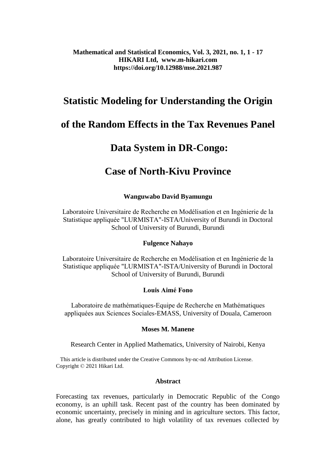# **Mathematical and Statistical Economics, Vol. 3, 2021, no. 1, 1 - 17 HIKARI Ltd, www.m-hikari.com https://doi.org/10.12988/mse.2021.987**

# **Statistic Modeling for Understanding the Origin**

# **of the Random Effects in the Tax Revenues Panel**

# **Data System in DR-Congo:**

# **Case of North-Kivu Province**

# **Wanguwabo David Byamungu**

Laboratoire Universitaire de Recherche en Modélisation et en Ingénierie de la Statistique appliquée "LURMISTA"-ISTA/University of Burundi in Doctoral School of University of Burundi, Burundi

## **Fulgence Nahayo**

Laboratoire Universitaire de Recherche en Modélisation et en Ingénierie de la Statistique appliquée "LURMISTA"-ISTA/University of Burundi in Doctoral School of University of Burundi, Burundi

## **Louis Aimé Fono**

Laboratoire de mathématiques-Equipe de Recherche en Mathématiques appliquées aux Sciences Sociales-EMASS, University of Douala, Cameroon

## **Moses M. Manene**

Research Center in Applied Mathematics, University of Nairobi, Kenya

 This article is distributed under the Creative Commons by-nc-nd Attribution License. Copyright © 2021 Hikari Ltd.

## **Abstract**

Forecasting tax revenues, particularly in Democratic Republic of the Congo economy, is an uphill task. Recent past of the country has been dominated by economic uncertainty, precisely in mining and in agriculture sectors. This factor, alone, has greatly contributed to high volatility of tax revenues collected by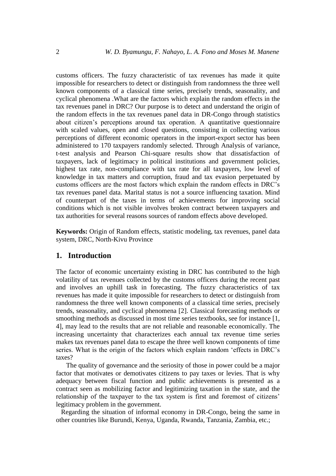customs officers. The fuzzy characteristic of tax revenues has made it quite impossible for researchers to detect or distinguish from randomness the three well known components of a classical time series, precisely trends, seasonality, and cyclical phenomena .What are the factors which explain the random effects in the tax revenues panel in DRC? Our purpose is to detect and understand the origin of the random effects in the tax revenues panel data in DR-Congo through statistics about citizen's perceptions around tax operation. A quantitative questionnaire with scaled values, open and closed questions, consisting in collecting various perceptions of different economic operators in the import-export sector has been administered to 170 taxpayers randomly selected. Through Analysis of variance, t-test analysis and Pearson Chi-square results show that dissatisfaction of taxpayers, lack of legitimacy in political institutions and government policies, highest tax rate, non-compliance with tax rate for all taxpayers, low level of knowledge in tax matters and corruption, fraud and tax evasion perpetuated by customs officers are the most factors which explain the random effects in DRC's tax revenues panel data. Marital status is not a source influencing taxation. Mind of counterpart of the taxes in terms of achievements for improving social conditions which is not visible involves broken contract between taxpayers and tax authorities for several reasons sources of random effects above developed.

**Keywords:** Origin of Random effects, statistic modeling, tax revenues, panel data system, DRC, North-Kivu Province

## **1. Introduction**

The factor of economic uncertainty existing in DRC has contributed to the high volatility of tax revenues collected by the customs officers during the recent past and involves an uphill task in forecasting. The fuzzy characteristics of tax revenues has made it quite impossible for researchers to detect or distinguish from randomness the three well known components of a classical time series, precisely trends, seasonality, and cyclical phenomena [2]. Classical forecasting methods or smoothing methods as discussed in most time series textbooks, see for instance [1, 4], may lead to the results that are not reliable and reasonable economically. The increasing uncertainty that characterizes each annual tax revenue time series makes tax revenues panel data to escape the three well known components of time series. What is the origin of the factors which explain random 'effects in DRC's taxes?

 The quality of governance and the seriosity of those in power could be a major factor that motivates or demotivates citizens to pay taxes or levies. That is why adequacy between fiscal function and public achievements is presented as a contract seen as mobilizing factor and legitimizing taxation in the state, and the relationship of the taxpayer to the tax system is first and foremost of citizens' legitimacy problem in the government.

 Regarding the situation of informal economy in DR-Congo, being the same in other countries like Burundi, Kenya, Uganda, Rwanda, Tanzania, Zambia, etc.;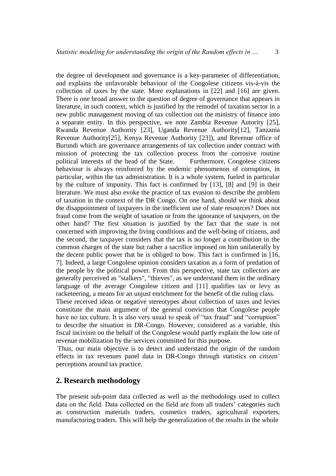the degree of development and governance is a key-parameter of differentiation, and explains the unfavorable behaviour of the Congolese citizens vis-à-vis the collection of taxes by the state. More explanations in [22] and [16] are given. There is one broad answer to the question of degree of governance that appears in literature, in such context, which is justified by the remodel of taxation sector in a new public management moving of tax collection out the ministry of finance into a separate entity. In this perspective, we note Zambia Revenue Autority [25], Rwanda Revenue Authority [23], Uganda Revenue Authority[12], Tanzania Revenue Authority[25], Kenya Revenue Authority [23]), and Revenue office of Burundi which are governance arrangements of tax collection under contract with mission of protecting the tax collection process from the corrosive routine political interests of the head of the State. Furthermore, Congolese citizens behaviour is always reinforced by the endemic phenomenon of corruption, in particular, within the tax administration. It is a whole system, fueled in particular by the culture of impunity. This fact is confirmed by [13], [8] and [9] in their literature. We must also evoke the practice of tax evasion to describe the problem of taxation in the context of the DR Congo. On one hand, should we think about the disappointment of taxpayers in the inefficient use of state resources? Does not fraud come from the weight of taxation or from the ignorance of taxpayers, on the other hand? The first situation is justified by the fact that the state is not concerned with improving the living conditions and the well-being of citizens, and the second, the taxpayer considers that the tax is no longer a contribution in the common charges of the state but rather a sacrifice imposed on him unilaterally by the decent public power that he is obliged to bow. This fact is confirmed in [16, 7]. Indeed, a large Congolese opinion considers taxation as a form of predation of the people by the political power. From this perspective, state tax collectors are generally perceived as "stalkers", "thieves", as we understand them in the ordinary language of the average Congolese citizen and [11] qualifies tax or levy as racketeering, a means for an unjust enrichment for the benefit of the ruling class. These received ideas or negative stereotypes about collection of taxes and levies

constitute the main argument of the general conviction that Congolese people have no tax culture. It is also very usual to speak of "tax fraud" and "corruption" to describe the situation in DR-Congo. However, considered as a variable, this fiscal incivism on the behalf of the Congolese would partly explain the low rate of revenue mobilization by the services committed for this purpose.

Thus, our main objective is to detect and understand the origin of the random effects in tax revenues panel data in DR-Congo through statistics on citizen' perceptions around tax practice.

## **2. Research methodology**

The present sub-point data collected as well as the methodology used to collect data on the field. Data collected on the field are from all traders' categories such as construction materials traders, cosmetics traders, agricultural exporters, manufacturing traders. This will help the generalization of the results in the whole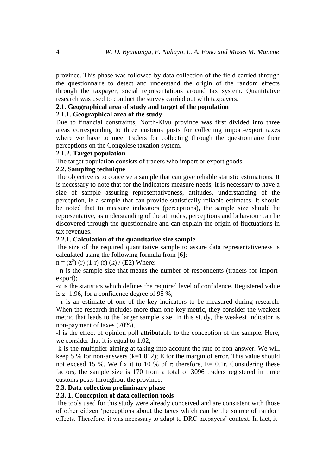province. This phase was followed by data collection of the field carried through the questionnaire to detect and understand the origin of the random effects through the taxpayer, social representations around tax system. Quantitative research was used to conduct the survey carried out with taxpayers.

#### **2.1. Geographical area of study and target of the population**

#### **2.1.1. Geographical area of the study**

Due to financial constraints, North-Kivu province was first divided into three areas corresponding to three customs posts for collecting import-export taxes where we have to meet traders for collecting through the questionnaire their perceptions on the Congolese taxation system.

#### **2.1.2. Target population**

The target population consists of traders who import or export goods.

#### **2.2. Sampling technique**

The objective is to conceive a sample that can give reliable statistic estimations. It is necessary to note that for the indicators measure needs, it is necessary to have a size of sample assuring representativeness, attitudes, understanding of the perception, ie a sample that can provide statistically reliable estimates. It should be noted that to measure indicators (perceptions), the sample size should be representative, as understanding of the attitudes, perceptions and behaviour can be discovered through the questionnaire and can explain the origin of fluctuations in tax revenues.

#### **2.2.1. Calculation of the quantitative size sample**

The size of the required quantitative sample to assure data representativeness is calculated using the following formula from [6]:

 $n = (z^2)$  (r) (1-r) (f) (k) / (E2) Where:

-n is the sample size that means the number of respondents (traders for importexport);

-z is the statistics which defines the required level of confidence. Registered value is z=1.96, for a confidence degree of 95 %;

- r is an estimate of one of the key indicators to be measured during research. When the research includes more than one key metric, they consider the weakest metric that leads to the larger sample size. In this study, the weakest indicator is non-payment of taxes (70%),

-f is the effect of opinion poll attributable to the conception of the sample. Here, we consider that it is equal to 1.02;

-k is the multiplier aiming at taking into account the rate of non-answer. We will keep 5 % for non-answers (k=1.012); E for the margin of error. This value should not exceed 15 %. We fix it to 10 % of r; therefore,  $E = 0.1r$ . Considering these factors, the sample size is 170 from a total of 3096 traders registered in three customs posts throughout the province.

#### **2.3. Data collection preliminary phase**

## **2.3. 1. Conception of data collection tools**

The tools used for this study were already conceived and are consistent with those of other citizen 'perceptions about the taxes which can be the source of random effects. Therefore, it was necessary to adapt to DRC taxpayers' context. In fact, it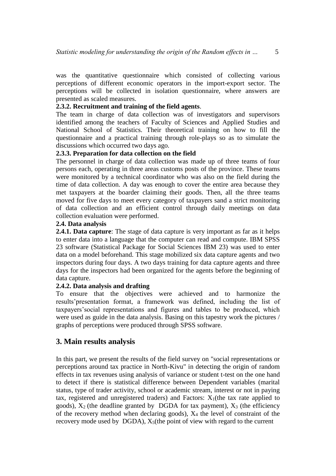was the quantitative questionnaire which consisted of collecting various perceptions of different economic operators in the import-export sector. The perceptions will be collected in isolation questionnaire, where answers are presented as scaled measures.

## **2.3.2. Recruitment and training of the field agents**.

The team in charge of data collection was of investigators and supervisors identified among the teachers of Faculty of Sciences and Applied Studies and National School of Statistics. Their theoretical training on how to fill the questionnaire and a practical training through role-plays so as to simulate the discussions which occurred two days ago.

#### **2.3.3. Preparation for data collection on the field**

The personnel in charge of data collection was made up of three teams of four persons each, operating in three areas customs posts of the province. These teams were monitored by a technical coordinator who was also on the field during the time of data collection. A day was enough to cover the entire area because they met taxpayers at the boarder claiming their goods. Then, all the three teams moved for five days to meet every category of taxpayers sand a strict monitoring of data collection and an efficient control through daily meetings on data collection evaluation were performed.

#### **2.4. Data analysis**

**2.4.1. Data capture**: The stage of data capture is very important as far as it helps to enter data into a language that the computer can read and compute. IBM SPSS 23 software (Statistical Package for Social Sciences IBM 23) was used to enter data on a model beforehand. This stage mobilized six data capture agents and two inspectors during four days. A two days training for data capture agents and three days for the inspectors had been organized for the agents before the beginning of data capture.

## **2.4.2. Data analysis and drafting**

To ensure that the objectives were achieved and to harmonize the results'presentation format, a framework was defined, including the list of taxpayers'social representations and figures and tables to be produced, which were used as guide in the data analysis. Basing on this tapestry work the pictures / graphs of perceptions were produced through SPSS software.

# **3. Main results analysis**

In this part, we present the results of the field survey on "social representations or perceptions around tax practice in North-Kivu" in detecting the origin of random effects in tax revenues using analysis of variance or student t-test on the one hand to detect if there is statistical difference between Dependent variables (marital status, type of trader activity, school or academic stream, interest or not in paying tax, registered and unregistered traders) and Factors:  $X_1$ (the tax rate applied to goods),  $X_2$  (the deadline granted by DGDA for tax payment),  $X_3$  (the efficiency of the recovery method when declaring goods),  $X_4$  the level of constraint of the recovery mode used by DGDA),  $X_5$ (the point of view with regard to the current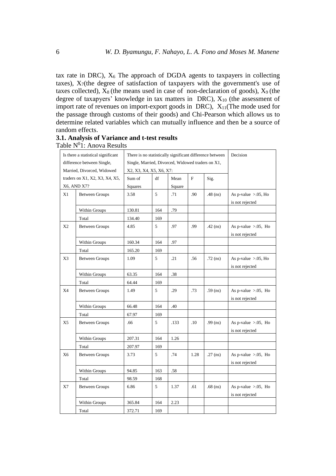tax rate in DRC),  $X_6$  The approach of DGDA agents to taxpayers in collecting taxes),  $X_7$ (the degree of satisfaction of taxpayers with the government's use of taxes collected),  $\bar{X}_8$  (the means used in case of non-declaration of goods),  $\bar{X}_9$  (the degree of taxapyers' knowledge in tax matters in  $DRC$ ),  $X_{10}$  (the assessment of import rate of revenues on import-export goods in DRC),  $X_{11}$ (The mode used for the passage through customs of their goods) and Chi-Pearson which allows us to determine related variables which can mutually influence and then be a source of random effects.

|                | Is there a statistical significant |                                                   |     |        |             | There is no statistically significant difference between | Decision                                    |
|----------------|------------------------------------|---------------------------------------------------|-----|--------|-------------|----------------------------------------------------------|---------------------------------------------|
|                | difference between Single,         | Single, Married, Divorced, Widowed traders on X1, |     |        |             |                                                          |                                             |
|                | Married, Divorced, Widowed         | X2, X3, X4, X5, X6, X7:                           |     |        |             |                                                          |                                             |
|                | traders on X1, X2, X3, X4, X5,     | Sum of                                            | df  | Mean   | $\mathbf F$ | Sig.                                                     |                                             |
|                | X6, AND X7?                        | Squares                                           |     | Square |             |                                                          |                                             |
| X1             | <b>Between Groups</b>              | 3.58                                              | 5   | .71    | .90         | $.48$ (ns)                                               | As p-value $> 0.05$ , Ho<br>is not rejected |
|                | Within Groups                      | 130.81                                            | 164 | .79    |             |                                                          |                                             |
|                | Total                              | 134.40                                            | 169 |        |             |                                                          |                                             |
| X <sub>2</sub> | <b>Between Groups</b>              | 4.85                                              | 5   | .97    | .99         | $.42$ (ns)                                               | As p-value $> 0.05$ , Ho<br>is not rejected |
|                | Within Groups                      | 160.34                                            | 164 | .97    |             |                                                          |                                             |
|                | Total                              | 165.20                                            | 169 |        |             |                                                          |                                             |
| X3             | <b>Between Groups</b>              | 1.09                                              | 5   | .21    | .56         | $.72$ (ns)                                               | As p-value $> 0.05$ , Ho<br>is not rejected |
|                | Within Groups                      | 63.35                                             | 164 | .38    |             |                                                          |                                             |
|                | Total                              | 64.44                                             | 169 |        |             |                                                          |                                             |
| X4             | <b>Between Groups</b>              | 1.49                                              | 5   | .29    | .73         | $.59$ (ns)                                               | As p-value $> 0.05$ , Ho<br>is not rejected |
|                | Within Groups                      | 66.48                                             | 164 | .40    |             |                                                          |                                             |
|                | Total                              | 67.97                                             | 169 |        |             |                                                          |                                             |
| X5             | <b>Between Groups</b>              | .66                                               | 5   | .133   | .10         | $.99$ (ns)                                               | As p-value $>0.05$ , Ho<br>is not rejected  |
|                | Within Groups                      | 207.31                                            | 164 | 1.26   |             |                                                          |                                             |
|                | Total                              | 207.97                                            | 169 |        |             |                                                          |                                             |
| X <sub>6</sub> | <b>Between Groups</b>              | 3.73                                              | 5   | .74    | 1.28        | $.27$ (ns)                                               | As p-value $>0.05$ , Ho<br>is not rejected  |
|                | Within Groups                      | 94.85                                             | 163 | .58    |             |                                                          |                                             |
|                | Total                              | 98.59                                             | 168 |        |             |                                                          |                                             |
| X7             | <b>Between Groups</b>              | 6.86                                              | 5   | 1.37   | .61         | $.68$ (ns)                                               | As p-value $>0.05$ , Ho<br>is not rejected  |
|                | Within Groups                      | 365.84                                            | 164 | 2.23   |             |                                                          |                                             |
|                | Total                              | 372.71                                            | 169 |        |             |                                                          |                                             |

**3.1. Analysis of Variance and t-test results** Table  $N^0$ 1: Anova Results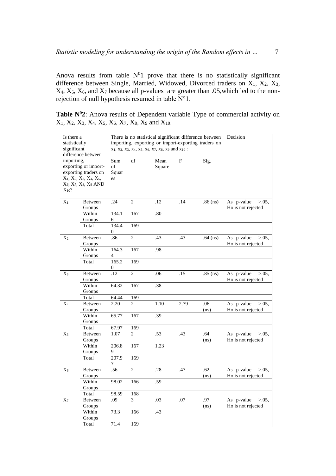Anova results from table  $N^01$  prove that there is no statistically significant difference between Single, Married, Widowed, Divorced traders on  $X_1$ ,  $X_2$ ,  $X_3$ ,  $X_4$ ,  $X_5$ ,  $X_6$ , and  $X_7$  because all p-values are greater than .05, which led to the nonrejection of null hypothesis resumed in table N°1.

**Table N<sup>0</sup>2**: Anova results of Dependent variable Type of commercial activity on  $X_1, X_2, X_3, X_4, X_5, X_6, X_7, X_8, X_9$  and  $X_{10}$ .

| Is there a       |                            | Decision     |                                             |        |      |                                                     |                                                |
|------------------|----------------------------|--------------|---------------------------------------------|--------|------|-----------------------------------------------------|------------------------------------------------|
| statistically    |                            |              |                                             |        |      | importing, exporting or import-exporting traders on |                                                |
| significant      |                            |              | X1, X2, X3, X4, X5, X6, X7, X8, X9 and X10: |        |      |                                                     |                                                |
|                  | difference between         |              |                                             |        |      |                                                     |                                                |
| importing.       |                            | Sum          | df                                          | Mean   | F    | Sig.                                                |                                                |
|                  | exporting or import-       | of           |                                             | Square |      |                                                     |                                                |
|                  | exporting traders on       | Squar        |                                             |        |      |                                                     |                                                |
|                  | $X_1, X_2, X_3, X_4, X_5,$ | es           |                                             |        |      |                                                     |                                                |
|                  | X6, X7, X8, X9 AND         |              |                                             |        |      |                                                     |                                                |
| $X_{10}$ ?       |                            |              |                                             |        |      |                                                     |                                                |
| $\overline{X_1}$ | Between                    | .24          | $\overline{2}$                              | .12    | .14  | $.86$ (ns)                                          | As p-value<br>$> 0.05$ ,                       |
|                  | Groups                     |              |                                             |        |      |                                                     | Ho is not rejected                             |
|                  | Within                     | 134.1        | 167                                         | .80    |      |                                                     |                                                |
|                  | Groups                     | 6            |                                             |        |      |                                                     |                                                |
|                  | Total                      | 134.4        | 169                                         |        |      |                                                     |                                                |
|                  |                            | $\mathbf{0}$ |                                             |        |      |                                                     |                                                |
| $X_2$            | Between                    | .86          | $\overline{2}$                              | .43    | .43  | $.64$ (ns)                                          | As p-value<br>$> 0.05$ ,                       |
|                  | Groups                     |              |                                             |        |      |                                                     | Ho is not rejected                             |
|                  | Within                     | 164.3        | 167                                         | .98    |      |                                                     |                                                |
|                  | Groups                     | 4            |                                             |        |      |                                                     |                                                |
|                  | Total                      | 165.2        | 169                                         |        |      |                                                     |                                                |
|                  |                            | 0            |                                             |        |      |                                                     |                                                |
| $X_3$            | <b>Between</b>             | .12          | $\overline{2}$                              | .06    | .15  | $.85$ (ns)                                          | As p-value<br>$> 0.05$ ,<br>Ho is not rejected |
|                  | Groups<br>Within           | 64.32        | 167                                         | .38    |      |                                                     |                                                |
|                  | Groups                     |              |                                             |        |      |                                                     |                                                |
|                  | Total                      | 64.44        | 169                                         |        |      |                                                     |                                                |
| $\overline{X_4}$ | Between                    | 2.20         | $\overline{c}$                              | 1.10   | 2.79 | .06                                                 | As p-value<br>$> 0.05$ ,                       |
|                  | Groups                     |              |                                             |        |      | (ns)                                                | Ho is not rejected                             |
|                  | Within                     | 65.77        | 167                                         | .39    |      |                                                     |                                                |
|                  | Groups                     |              |                                             |        |      |                                                     |                                                |
|                  | Total                      | 67.97        | 169                                         |        |      |                                                     |                                                |
| $X_5$            | Between                    | 1.07         | 2                                           | .53    | .43  | .64                                                 | As p-value<br>$> 0.05$ ,                       |
|                  | Groups                     |              |                                             |        |      | (ns)                                                | Ho is not rejected                             |
|                  | Within                     | 206.8        | 167                                         | 1.23   |      |                                                     |                                                |
|                  | Groups                     | 9            |                                             |        |      |                                                     |                                                |
|                  | Total                      | 207.9<br>7   | $\overline{169}$                            |        |      |                                                     |                                                |
| $X_6$            | Between                    | .56          | $\overline{2}$                              | .28    | .47  | .62                                                 | As p-value<br>$> 0.05$ ,                       |
|                  | Groups                     |              |                                             |        |      | (ns)                                                | Ho is not rejected                             |
|                  | Within                     | 98.02        | 166                                         | .59    |      |                                                     |                                                |
|                  | Groups                     |              |                                             |        |      |                                                     |                                                |
|                  | Total                      | 98.59        | 168                                         |        |      |                                                     |                                                |
| $X_7$            | Between                    | .09          | 3                                           | .03    | .07  | .97                                                 | As p-value<br>$> 0.05$ ,                       |
|                  | Groups                     |              |                                             |        |      | (ns)                                                | Ho is not rejected                             |
|                  | Within                     | 73.3         | 166                                         | .43    |      |                                                     |                                                |
|                  | Groups                     |              |                                             |        |      |                                                     |                                                |
|                  | Total                      | 71.4         | 169                                         |        |      |                                                     |                                                |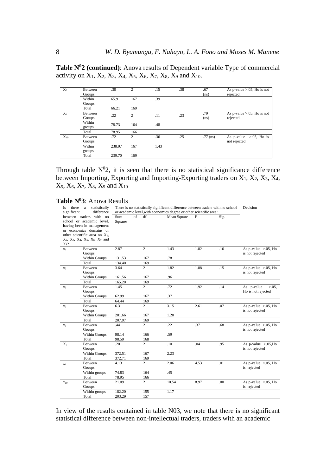**Table N<sup>0</sup>2 (continued)**: Anova results of Dependent variable Type of commercial activity on  $X_1, X_2, X_3, X_4, X_5, X_6, X_7, X_8, X_9$  and  $X_{10}$ .

| $X_8$          | Between           | .30    | $\overline{2}$ | .15  | .38 | .67         | As p-value $> 0.05$ , Ho is not             |
|----------------|-------------------|--------|----------------|------|-----|-------------|---------------------------------------------|
|                | Groups            |        |                |      |     | (ns)        | rejected.                                   |
|                | Within            | 65.9   | 167            | .39  |     |             |                                             |
|                | Groups            |        |                |      |     |             |                                             |
|                | Total             | 66.21  | 169            |      |     |             |                                             |
| X <sub>9</sub> | Between<br>Groups | .22    | $\overline{2}$ | .11  | .23 | .79<br>(ns) | As p-value $>0.05$ , Ho is not<br>rejected. |
|                | Within<br>groups  | 78.73  | 164            | .48  |     |             |                                             |
|                | Total             | 78.95  | 166            |      |     |             |                                             |
| $X_{10}$       | Between<br>Groups | .72    | $\overline{c}$ | .36  | .25 | $.77$ (ns)  | As p-value $>0.05$ , Ho is<br>not rejected  |
|                | Within            | 238.97 | 167            | 1.43 |     |             |                                             |
|                | groups            |        |                |      |     |             |                                             |
|                | Total             | 239.70 | 169            |      |     |             |                                             |

Through table  $N^0$ 2, it is seen that there is no statistical significance difference between Importing, Exporting and Importing-Exporting traders on  $X_1$ ,  $X_2$ ,  $X_3$ ,  $X_4$ ,  $X_5$ ,  $X_6$ ,  $X_7$ ,  $X_8$ ,  $X_9$  and  $X_{10}$ 

| Is             | statistically<br>there a                          |                |                | There is no statistically significant difference between traders with no school |      |       | Decision                     |
|----------------|---------------------------------------------------|----------------|----------------|---------------------------------------------------------------------------------|------|-------|------------------------------|
| significant    | difference                                        |                |                | or academic level, with economics degree or other scientific area:              |      |       |                              |
|                | between traders with no                           | Sum<br>of      | df             | Mean Square                                                                     | F    | Sig.  |                              |
|                | school or academic level,                         | <b>Squares</b> |                |                                                                                 |      |       |                              |
|                | having been in management                         |                |                |                                                                                 |      |       |                              |
|                | or economics domains or                           |                |                |                                                                                 |      |       |                              |
|                | other scientific area on X <sub>1</sub> ,         |                |                |                                                                                 |      |       |                              |
|                | $X_2$ , $X_3$ , $X_4$ , $X_5$ , $X_6$ , $X_7$ and |                |                |                                                                                 |      |       |                              |
| $X_8$ ?        |                                                   |                |                |                                                                                 |      |       |                              |
| $x_1$          | Between                                           | 2.87           | $\overline{2}$ | 1.43                                                                            | 1.82 | $-16$ | As p-value $>0.05$ , Ho      |
|                | Groups                                            |                |                |                                                                                 |      |       | is not rejected              |
|                | Within Groups                                     | 131.53         | 167            | .78                                                                             |      |       |                              |
|                | Total                                             | 134.40         | 169            |                                                                                 |      |       |                              |
| X <sub>2</sub> | Between                                           | 3.64           | $\overline{c}$ | 1.82                                                                            | 1.88 | .15   | As p-value $>0.05$ , Ho      |
|                | Groups                                            |                |                |                                                                                 |      |       | is not rejected              |
|                | Within Groups                                     | 161.56         | 167            | .96                                                                             |      |       |                              |
|                | Total                                             | 165.20         | 169            |                                                                                 |      |       |                              |
| X <sub>3</sub> | Between                                           | 1.45           | $\overline{2}$ | .72                                                                             | 1.92 | .14   | As p-value<br>$> 0.05$ ,     |
|                | Groups                                            |                |                |                                                                                 |      |       | Ho is not rejected           |
|                | Within Groups                                     | 62.99          | 167            | .37                                                                             |      |       |                              |
|                | Total                                             | 64.44          | 169            |                                                                                 |      |       |                              |
| X <sub>5</sub> | Between                                           | 6.31           | $\overline{2}$ | 3.15                                                                            | 2.61 | .07   | As p-value $>0.05$ , Ho      |
|                | Groups                                            |                |                |                                                                                 |      |       | is not rejected              |
|                | Within Groups                                     | 201.66         | 167            | 1.20                                                                            |      |       |                              |
|                | Total                                             | 207.97         | 169            |                                                                                 |      |       |                              |
| X <sub>6</sub> | Between                                           | .44            | $\overline{c}$ | .22                                                                             | .37  | .68   | As p-value $>0.05$ , Ho      |
|                | Groups                                            |                |                |                                                                                 |      |       | is not rejected              |
|                | Within Groups                                     | 98.14          | 166            | .59                                                                             |      |       |                              |
|                | Total                                             | 98.59          | 168            |                                                                                 |      |       |                              |
| $X_7$          | Between                                           | .20            | $\overline{2}$ | .10                                                                             | .04  | .95   | As p-value $>0.05$ , Ho      |
|                | Groups                                            |                |                |                                                                                 |      |       | is not rejected              |
|                | Within Groups                                     | 372.51         | 167            | 2.23                                                                            |      |       |                              |
|                | Total                                             | 372.71         | 169            |                                                                                 |      |       |                              |
| X9             | Between                                           | 4.13           | $\overline{2}$ | 2.06                                                                            | 4.53 | .01   | As p-value $\langle .05,$ Ho |
|                | Groups                                            |                |                |                                                                                 |      |       | is rejected                  |
|                | Within groups                                     | 74.83          | 164            | .45                                                                             |      |       |                              |
|                | Total                                             | 78.95          | 166            |                                                                                 |      |       |                              |
| $X_{10}$       | Between                                           | 21.09          | $\overline{c}$ | 10.54                                                                           | 8.97 | .00   | As p-value $\leq$ .05, Ho    |
|                | Groups                                            |                |                |                                                                                 |      |       | is rejected                  |
|                | Within groups                                     | 182.20         | 155            | 1.17                                                                            |      |       |                              |
|                | Total                                             | 203.29         | 157            |                                                                                 |      |       |                              |

In view of the results contained in table N03, we note that there is no significant statistical difference between non-intellectual traders, traders with an academic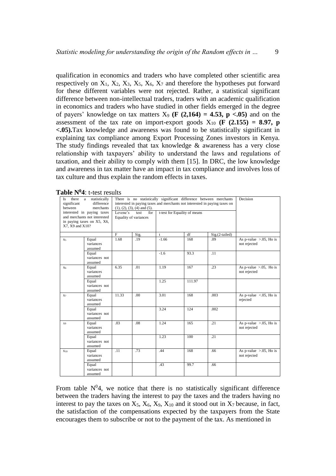qualification in economics and traders who have completed other scientific area respectively on  $X_1$ ,  $X_2$ ,  $X_3$ ,  $X_5$ ,  $X_6$ ,  $X_7$  and therefore the hypotheses put forward for these different variables were not rejected. Rather, a statistical significant difference between non-intellectual traders, traders with an academic qualification in economics and traders who have studied in other fields emerged in the degree of payers' knowledge on tax matters  $X_9$  (**F** (2,164) = 4.53, **p** <.05) and on the assessment of the tax rate on import-export goods  $X_{10}$  (**F** (2.155) = 8.97, **p <.05).**Tax knowledge and awareness was found to be statistically significant in explaining tax compliance among Export Processing Zones investors in Kenya. The study findings revealed that tax knowledge  $\&$  awareness has a very close relationship with taxpayers' ability to understand the laws and regulations of taxation, and their ability to comply with them [15]. In DRC, the low knowledge and awareness in tax matter have an impact in tax compliance and involves loss of tax culture and thus explain the random effects in taxes.

| significant<br>between | There is no statistically significant difference between merchants<br>Is there a<br>statistically<br>interested in paying taxes and merchants not interested in paying taxes on<br>difference<br>merchants<br>$(1), (2), (3), (4)$ and $(5)$ .<br>interested in paying taxes<br>t-test for Equality of means<br>Levene's<br>test<br>for<br>and merchants not interested<br>Equality of variances |       |      |         |        |                |                                            |  |
|------------------------|--------------------------------------------------------------------------------------------------------------------------------------------------------------------------------------------------------------------------------------------------------------------------------------------------------------------------------------------------------------------------------------------------|-------|------|---------|--------|----------------|--------------------------------------------|--|
| X7, X9 and X10?        | in paying taxes on X5, X6,                                                                                                                                                                                                                                                                                                                                                                       |       |      |         |        |                |                                            |  |
|                        |                                                                                                                                                                                                                                                                                                                                                                                                  | F     | Sig. | t       | df     | Sig.(2-tailed) |                                            |  |
| X <sub>5</sub>         | Equal<br>variances<br>assumed                                                                                                                                                                                                                                                                                                                                                                    | 1.68  | .19  | $-1.66$ | 168    | .09            | As p-value $>0.05$ , Ho is<br>not rejected |  |
|                        | Equal<br>variances not<br>assumed                                                                                                                                                                                                                                                                                                                                                                |       |      | $-1.6$  | 93.3   | .11            |                                            |  |
| X <sub>6</sub>         | Equal<br>variances<br>assumed                                                                                                                                                                                                                                                                                                                                                                    | 6.35  | .01  | 1.19    | 167    | .23            | As p-value $>0.05$ , Ho is<br>not rejected |  |
|                        | Equal<br>variances not<br>assumed                                                                                                                                                                                                                                                                                                                                                                |       |      | 1.25    | 111.97 |                |                                            |  |
| X7                     | Equal<br>variances<br>assumed                                                                                                                                                                                                                                                                                                                                                                    | 11.33 | .00  | 3.01    | 168    | .003           | As p-value $\leq$ .05, Ho is<br>rejected   |  |
|                        | Equal<br>variances not<br>assumed                                                                                                                                                                                                                                                                                                                                                                |       |      | 3.24    | 124    | .002           |                                            |  |
| X9                     | Equal<br>variances<br>assumed                                                                                                                                                                                                                                                                                                                                                                    | .03   | .08  | 1.24    | 165    | .21            | As p-value $>0.05$ , Ho is<br>not rejected |  |
|                        | Equal<br>variances not<br>assumed                                                                                                                                                                                                                                                                                                                                                                |       |      | 1.23    | 100    | .21            |                                            |  |
| X10                    | Equal<br>variances<br>assumed                                                                                                                                                                                                                                                                                                                                                                    | .11   | .73  | .44     | 168    | .66            | As p-value $>0.05$ , Ho is<br>not rejected |  |
|                        | Equal<br>variances not<br>assumed                                                                                                                                                                                                                                                                                                                                                                |       |      | .43     | 99.7   | .66            |                                            |  |

**Table N<sup>0</sup>4**: t-test results

From table  $N^0$ 4, we notice that there is no statistically significant difference between the traders having the interest to pay the taxes and the traders having no interest to pay the taxes on  $X_5$ ,  $X_6$ ,  $X_9$ ,  $X_{10}$  and it stood out in  $X_7$  because, in fact, the satisfaction of the compensations expected by the taxpayers from the State encourages them to subscribe or not to the payment of the tax. As mentioned in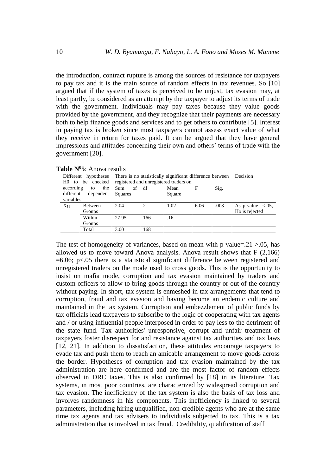the introduction, contract rupture is among the sources of resistance for taxpayers to pay tax and it is the main source of random effects in tax revenues. So [10] argued that if the system of taxes is perceived to be unjust, tax evasion may, at least partly, be considered as an attempt by the taxpayer to adjust its terms of trade with the government. Individuals may pay taxes because they value goods provided by the government, and they recognize that their payments are necessary both to help finance goods and services and to get others to contribute [5]. Interest in paying tax is broken since most taxpayers cannot assess exact value of what they receive in return for taxes paid. It can be argued that they have general impressions and attitudes concerning their own and others' terms of trade with the government [20].

|            | Different hypotheses                        | There is no statistically significant difference between | Decision |                                        |      |      |                          |
|------------|---------------------------------------------|----------------------------------------------------------|----------|----------------------------------------|------|------|--------------------------|
|            | H0 to be checked                            |                                                          |          | registered and unregistered traders on |      |      |                          |
| according  | the<br>to                                   | of df<br>Sum                                             |          | Mean                                   | F    | Sig. |                          |
|            | different<br>dependent<br>Squares<br>Square |                                                          |          |                                        |      |      |                          |
| variables. |                                             |                                                          |          |                                        |      |      |                          |
| $X_{11}$   | Between                                     | 2.04                                                     |          | 1.02                                   | 6.06 | .003 | As p-value $\leq 0.05$ , |
|            | Groups                                      |                                                          |          |                                        |      |      | Ho is rejected           |
|            | Within                                      | 27.95                                                    | 166      | .16                                    |      |      |                          |
|            | Groups                                      |                                                          |          |                                        |      |      |                          |
|            | Total                                       | 3.00                                                     | 168      |                                        |      |      |                          |

**Table N<sup>0</sup>5**: Anova results

The test of homogeneity of variances, based on mean with p-value= $.21 > .05$ , has allowed us to move toward Anova analysis. Anova result shows that F (2,166)  $=6.06$ ; p $< 0.05$  there is a statistical significant difference between registered and unregistered traders on the mode used to cross goods. This is the opportunity to insist on mafia mode, corruption and tax evasion maintained by traders and custom officers to allow to bring goods through the country or out of the country without paying. In short, tax system is enmeshed in tax arrangements that tend to corruption, fraud and tax evasion and having become an endemic culture and maintained in the tax system. Corruption and embezzlement of public funds by tax officials lead taxpayers to subscribe to the logic of cooperating with tax agents and / or using influential people interposed in order to pay less to the detriment of the state fund. Tax authorities' unresponsive, corrupt and unfair treatment of taxpayers foster disrespect for and resistance against tax authorities and tax laws [12, 21]. In addition to dissatisfaction, these attitudes encourage taxpayers to evade tax and push them to reach an amicable arrangement to move goods across the border. Hypotheses of corruption and tax evasion maintained by the tax administration are here confirmed and are the most factor of random effects observed in DRC taxes. This is also confirmed by [18] in its literature. Tax systems, in most poor countries, are characterized by widespread corruption and tax evasion. The inefficiency of the tax system is also the basis of tax loss and involves randomness in his components. This inefficiency is linked to several parameters, including hiring unqualified, non-credible agents who are at the same time tax agents and tax advisers to individuals subjected to tax. This is a tax administration that is involved in tax fraud. Credibility, qualification of staff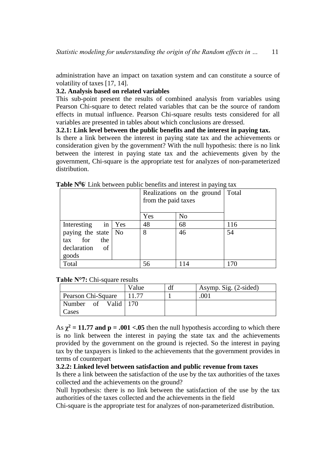administration have an impact on taxation system and can constitute a source of volatility of taxes [17, 14].

### **3.2. Analysis based on related variables**

This sub-point present the results of combined analysis from variables using Pearson Chi-square to detect related variables that can be the source of random effects in mutual influence. Pearson Chi-square results tests considered for all variables are presented in tables about which conclusions are dressed.

### **3.2.1: Link level between the public benefits and the interest in paying tax.**

Is there a link between the interest in paying state tax and the achievements or consideration given by the government? With the null hypothesis: there is no link between the interest in paying state tax and the achievements given by the government, Chi-square is the appropriate test for analyzes of non-parameterized distribution.

|                       | Realizations on the ground<br>from the paid taxes | Total          |     |
|-----------------------|---------------------------------------------------|----------------|-----|
|                       | Yes                                               | N <sub>o</sub> |     |
| in Yes<br>Interesting | 48                                                | 68             | 116 |
| paying the state   No | 8                                                 | 46             | 54  |
| tax for<br>the        |                                                   |                |     |
| declaration<br>of     |                                                   |                |     |
| goods                 |                                                   |                |     |
| Total                 | 56                                                | 114            | .7C |

## Table N<sup>0</sup>6<sup>:</sup> Link between public benefits and interest in paying tax

#### **Table N°7:** Chi-square results

|                    | Value | df | Asymp. Sig. (2-sided) |
|--------------------|-------|----|-----------------------|
| Pearson Chi-Square |       |    | 001                   |
| Number of Valid    | 170   |    |                       |
| Cases              |       |    |                       |

As  $\chi^2$  = 11.77 and p = .001 <.05 then the null hypothesis according to which there is no link between the interest in paying the state tax and the achievements provided by the government on the ground is rejected. So the interest in paying tax by the taxpayers is linked to the achievements that the government provides in terms of counterpart

#### **3.2.2: Linked level between satisfaction and public revenue from taxes**

Is there a link between the satisfaction of the use by the tax authorities of the taxes collected and the achievements on the ground?

Null hypothesis: there is no link between the satisfaction of the use by the tax authorities of the taxes collected and the achievements in the field

Chi-square is the appropriate test for analyzes of non-parameterized distribution.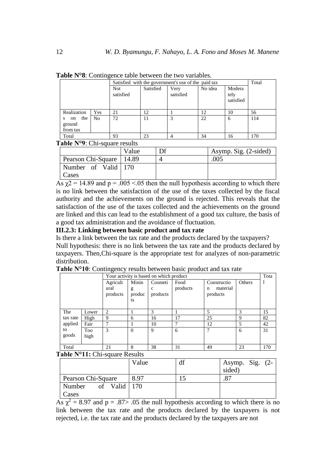|                                      | Satisfied with the government's use of the paid tax<br>Total |                   |           |                   |         |                             |     |
|--------------------------------------|--------------------------------------------------------------|-------------------|-----------|-------------------|---------|-----------------------------|-----|
|                                      |                                                              | Not.<br>satisfied | Satisfied | Very<br>satisfied | No idea | Modera<br>tely<br>satisfied |     |
| Realization                          | Yes                                                          | 21                | 12        |                   | 12      | 10                          | 56  |
| the<br>on<br>S<br>ground<br>from tax | N <sub>o</sub>                                               | 72                | 11        | 3                 | 22      | 6                           | 114 |
| Total                                |                                                              | 93                | 23        | 4                 | 34      | 16                          | 170 |

**Table N°8**: Contingence table between the two variables.

Table N<sup>o</sup>9: Chi-square results

|                            | Value | Df | Asymp. Sig. (2-sided) |
|----------------------------|-------|----|-----------------------|
| Pearson Chi-Square   14.89 |       |    | .005                  |
| Number of Valid 170        |       |    |                       |
| Cases                      |       |    |                       |

As  $\chi$ 2 = 14.89 and p = .005 <.05 then the null hypothesis according to which there is no link between the satisfaction of the use of the taxes collected by the fiscal authority and the achievements on the ground is rejected. This reveals that the satisfaction of the use of the taxes collected and the achievements on the ground are linked and this can lead to the establishment of a good tax culture, the basis of a good tax administration and the avoidance of fluctuation.

#### **III.2.3: Linking between basic product and tax rate**

Is there a link between the tax rate and the products declared by the taxpayers? Null hypothesis: there is no link between the tax rate and the products declared by taxpayers. Then,Chi-square is the appropriate test for analyzes of non-parametric distribution.

|          |       | Your activity is based on which product |          |             |          |               |        |     |
|----------|-------|-----------------------------------------|----------|-------------|----------|---------------|--------|-----|
|          |       | Agricult                                | Minin    | Cosmeti     | Food     | Constructio   | Others |     |
|          |       | ural                                    | g        | $\mathbf c$ | products | material<br>n |        |     |
|          |       | products                                | produc   | products    |          | products      |        |     |
|          |       |                                         | ts       |             |          |               |        |     |
|          |       |                                         |          |             |          |               |        |     |
| The      | Lower | 2                                       |          | 3           |          | 5             | 3      | 15  |
| tax rate | High  | 9                                       | 6        | 16          | 17       | 25            | 9      | 82  |
| applied  | Fair  | 7                                       |          | 10          | 7        | 12            | 5      | 42  |
| to       | Too   | 3                                       | $\Omega$ | 9           | 6        | 7             | 6      | 31  |
| goods    | high  |                                         |          |             |          |               |        |     |
|          |       |                                         |          |             |          |               |        |     |
| Total    |       | 21                                      | 8        | 38          | 31       | 49            | 23     | 170 |

**Table N°10**: Contingency results between basic product and tax rate

**Table N°11:** Chi-square Results

|                                | Value | df | Asymp. Sig. $(2-$<br>sided) |
|--------------------------------|-------|----|-----------------------------|
| Pearson Chi-Square             | 8.97  |    |                             |
| of Valid $\vert$ 170<br>Number |       |    |                             |
| Cases                          |       |    |                             |

 $\overline{As} \chi^2 = 8.97$  and  $p = .87$ > .05 the null hypothesis according to which there is no link between the tax rate and the products declared by the taxpayers is not rejected, i.e. the tax rate and the products declared by the taxpayers are not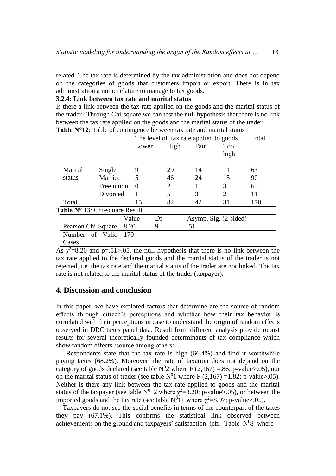related. The tax rate is determined by the tax administration and does not depend on the categories of goods that customers import or export. There is in tax administration a nomenclature to manage to tax goods.

## **3.2.4: Link between tax rate and marital status**

Is there a link between the tax rate applied on the goods and the marital status of the trader? Through Chi-square we can test the null hypothesis that there is no link between the tax rate applied on the goods and the marital status of the trader. **Table N°12**: Table of contingence between tax rate and marital status

|         |            | The level of tax rate applied to goods |      |      |            | Total |
|---------|------------|----------------------------------------|------|------|------------|-------|
|         |            | Lower                                  | High | Fair | <b>Too</b> |       |
|         |            |                                        |      |      | high       |       |
|         |            |                                        |      |      |            |       |
| Marital | Single     |                                        | 29   | 14   | 11         | 63    |
| status  | Married    |                                        | 46   | 24   | 15         | 90    |
|         | Free union |                                        |      |      |            | 6     |
|         | Divorced   |                                        |      |      |            | 11    |
| Total   |            | 15                                     | 82   | 42   | 31         | 170   |

**Table N° 13**: Chi-square Result

|                           | Value | Df | Asymp. Sig. $(2\text{-sided})$ |
|---------------------------|-------|----|--------------------------------|
| Pearson Chi-Square   8,20 |       |    |                                |
| Number of Valid 170       |       |    |                                |
| Cases                     |       |    |                                |

 $\overline{As} \chi^2 = 8.20$  and p=.51>.05, the null hypothesis that there is no link between the tax rate applied to the declared goods and the marital status of the trader is not rejected, i.e. the tax rate and the marital status of the trader are not linked. The tax rate is not related to the marital status of the trader (taxpayer).

## **4. Discussion and conclusion**

In this paper, we have explored factors that determine are the source of random effects through citizen's perceptions and whether how their tax behavior is correlated with their perceptions in case to understand the origin of random effects observed in DRC taxes panel data. Result from different analysis provide robust results for several theoretically founded determinants of tax compliance which show random effects 'source among others:

 Respondents state that the tax rate is high (66.4%) and find it worthwhile paying taxes (68.2%). Moreover, the rate of taxation does not depend on the category of goods declared (see table  $N^0$ 2 where F (2,167) = .86; p-value>.05), nor on the marital status of trader (see table  $N^01$  where F (2,167) =1.82; p-value>.05). Neither is there any link between the tax rate applied to goods and the marital status of the taxpayer (see table  $N^012$  where  $\chi^2$ =8.20; p-value>.05), or between the imported goods and the tax rate (see table  $N^011$  where  $\chi^2$ =8.97; p-value>.05).

 Taxpayers do not see the social benefits in terms of the counterpart of the taxes they pay (67.1%). This confirms the statistical link observed between achievements on the ground and taxpayers' satisfaction (cfr. Table  $N^08$  where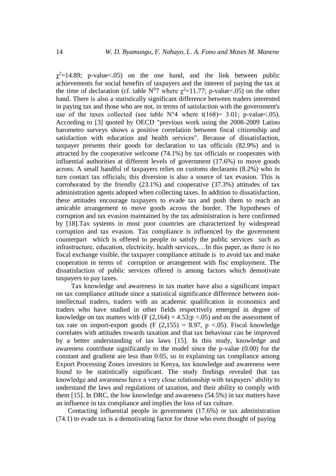$\chi^2$ =14.89; p-value<.05) on the one hand, and the link between public achievements for social benefits of taxpayers and the interest of paying the tax at the time of declaration (cf. table  $N^0$ 7 where  $\chi^2$ =11.77; p-value<.05) on the other hand. There is also a statistically significant difference between traders interested in paying tax and those who are not, in terms of satisfaction with the government's use of the taxes collected (see table  $N^{\circ}4$  where t(168)= 3.01; p-value<.05). According to [3] quoted by OECD "previous work using the 2008-2009 Latino barometro surveys shows a positive correlation between fiscal citizenship and satisfaction with education and health services". Because of dissatisfaction, taxpayer presents their goods for declaration to tax officials (82.9%) and is attracted by the cooperative welcome (74.1%) by tax officials or cooperates with influential authorities at different levels of government (17.6%) to move goods across. A small handful of taxpayers relies on customs declarants (8.2%) who in turn contact tax officials; this diversion is also a source of tax evasion. This is corroborated by the friendly (23.1%) and cooperative (37.3%) attitudes of tax administration agents adopted when collecting taxes. In addition to dissatisfaction, these attitudes encourage taxpayers to evade tax and push them to reach an amicable arrangement to move goods across the border. The hypotheses of corruption and tax evasion maintained by the tax administration is here confirmed by [18].Tax systems in most poor countries are characterized by widespread corruption and tax evasion. Tax compliance is influenced by the government counterpart which is offered to people to satisfy the public services such as infrastructure, education, electricity, health services,…In this paper, as there is no fiscal exchange visible, the taxpayer compliance attitude is to avoid tax and make cooperation in terms of corruption or arrangement with fisc employment. The dissatisfaction of public services offered is among factors which demotivate taxpayers to pay taxes.

 Tax knowledge and awareness in tax matter have also a significant impact on tax compliance attitude since a statistical significance difference between nonintellectual traders, traders with an academic qualification in economics and traders who have studied in other fields respectively emerged in degree of knowledge on tax matters with  $(F (2,164) = 4.53; p < .05)$  and on the assessment of tax rate on import-export goods (F  $(2.155) = 8.97$ , p <.05). Fiscal knowledge correlates with attitudes towards taxation and that tax behaviour can be improved by a better understanding of tax laws [15]. In this study, knowledge and awareness contribute significantly to the model since the p-value (0.00) for the constant and gradient are less than 0.05, so in explaining tax compliance among Export Processing Zones investors in Kenya, tax knowledge and awareness were found to be statistically significant. The study findings revealed that tax knowledge and awareness have a very close relationship with taxpayers' ability to understand the laws and regulations of taxation, and their ability to comply with them [15]. In DRC, the low knowledge and awareness (54.5%) in tax matters have an influence in tax compliance and implies the loss of tax culture.

 Contacting influential people in government (17.6%) or tax administration (74.1) to evade tax is a demotivating factor for those who even thought of paying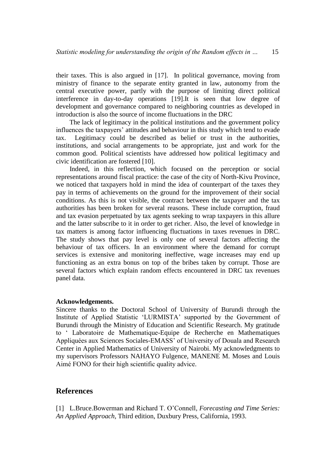their taxes. This is also argued in [17]. In political governance, moving from ministry of finance to the separate entity granted in law, autonomy from the central executive power, partly with the purpose of limiting direct political interference in day-to-day operations [19].It is seen that low degree of development and governance compared to neighboring countries as developed in introduction is also the source of income fluctuations in the DRC

 The lack of legitimacy in the political institutions and the government policy influences the taxpayers' attitudes and behaviour in this study which tend to evade tax. Legitimacy could be described as belief or trust in the authorities, institutions, and social arrangements to be appropriate, just and work for the common good. Political scientists have addressed how political legitimacy and civic identification are fostered [10].

 Indeed, in this reflection, which focused on the perception or social representations around fiscal practice: the case of the city of North-Kivu Province, we noticed that taxpayers hold in mind the idea of counterpart of the taxes they pay in terms of achievements on the ground for the improvement of their social conditions. As this is not visible, the contract between the taxpayer and the tax authorities has been broken for several reasons. These include corruption, fraud and tax evasion perpetuated by tax agents seeking to wrap taxpayers in this allure and the latter subscribe to it in order to get richer. Also, the level of knowledge in tax matters is among factor influencing fluctuations in taxes revenues in DRC. The study shows that pay level is only one of several factors affecting the behaviour of tax officers. In an environment where the demand for corrupt services is extensive and monitoring ineffective, wage increases may end up functioning as an extra bonus on top of the bribes taken by corrupt. Those are several factors which explain random effects encountered in DRC tax revenues panel data.

#### **Acknowledgements.**

Sincere thanks to the Doctoral School of University of Burundi through the Institute of Applied Statistic 'LURMISTA' supported by the Government of Burundi through the Ministry of Education and Scientific Research. My gratitude to ' Laboratoire de Mathematique-Equipe de Recherche en Mathematiques Appliquées aux Sciences Sociales-EMASS' of University of Douala and Research Center in Applied Mathematics of University of Nairobi. My acknowledgments to my supervisors Professors NAHAYO Fulgence, MANENE M. Moses and Louis Aimé FONO for their high scientific quality advice.

## **References**

[1] L.Bruce.Bowerman and Richard T. O'Connell*, Forecasting and Time Series: An Applied Approach*, Third edition, Duxbury Press, California, 1993.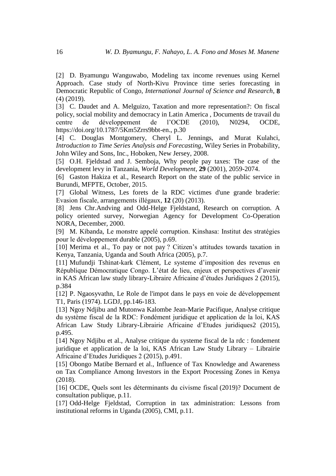[2] D. Byamungu Wanguwabo, Modeling tax income revenues using Kernel Approach. Case study of North-Kivu Province time series forecasting in Democratic Republic of Congo, *International Journal of Science and Research*, **8** (4) (2019).

[3] C. Daudet and A. Melguizo, Taxation and more representation?: On fiscal policy, social mobility and democracy in Latin America , Documents de travail du centre de développement de l'OCDE (2010), N0294, OCDE, [https://doi.org/10.1787/5Km5Zrrs9bbt-en.](https://doi.org/10.1787/5Km5Zrrs9bbt-en), p.30

[4] C. Douglas Montgomery, Cheryl L. Jennings, and Murat Kulahci, *Introduction to Time Series Analysis and Forecasting*, Wiley Series in Probability, John Wiley and Sons, Inc., Hoboken, New Jersey, 2008.

[5] O.H. Fjeldstad and J. Semboja, Why people pay taxes: The case of the development levy in Tanzania, *World Development*, **29** (2001), 2059-2074.

[6] Gaston Hakiza et al., Research Report on the state of the public service in Burundi, MFPTE, October, 2015.

[7] Global Witness, Les forets de la RDC victimes d'une grande braderie: Evasion fiscale, arrangements illégaux, **12** (20) (2013).

[8] Jens Chr.Andving and Odd-Helge Fjeldstand, Research on corruption. A policy oriented survey, Norwegian Agency for Development Co-Operation NORA, December, 2000.

[9] M. Kibanda, Le monstre appelé corruption. Kinshasa: Institut des stratégies pour le développement durable (2005), p.69.

[10] Merima et al., To pay or not pay? Citizen's attitudes towards taxation in Kenya, Tanzania, Uganda and South Africa (2005), p.7.

[11] Mufundji Tshinat-kark Clément, Le systeme d'imposition des revenus en République Démocratique Congo. L'état de lieu, enjeux et perspectives d'avenir in KAS African law study library-Libraire Africaine d'études Juridiques 2 (2015), p.384

[12] P. Ngaosyvathn, Le Role de l'impot dans le pays en voie de développement T1, Paris (1974). LGDJ, pp.146-183.

[13] Ngoy Ndjibu and Mutonwa Kalombe Jean-Marie Pacifique, Analyse critique du système fiscal de la RDC: Fondément juridique et application de la loi, KAS African Law Study Library-Librairie Africaine d'Etudes juridiques2 (2015), p.495.

[14] Ngoy Ndjibu et al., Analyse critique du systeme fiscal de la rdc : fondement juridique et application de la loi, KAS African Law Study Library – Librairie Africaine d'Etudes Juridiques 2 (2015), p.491.

[15] Obongo Matibe Bernard et al., Influence of Tax Knowledge and Awareness on Tax Compliance Among Investors in the Export Processing Zones in Kenya (2018).

[16] OCDE, Quels sont les déterminants du civisme fiscal (2019)? Document de consultation publique, p.11.

[17] Odd-Helge Fjeldstad, Corruption in tax administration: Lessons from institutional reforms in Uganda (2005), CMI, p.11.